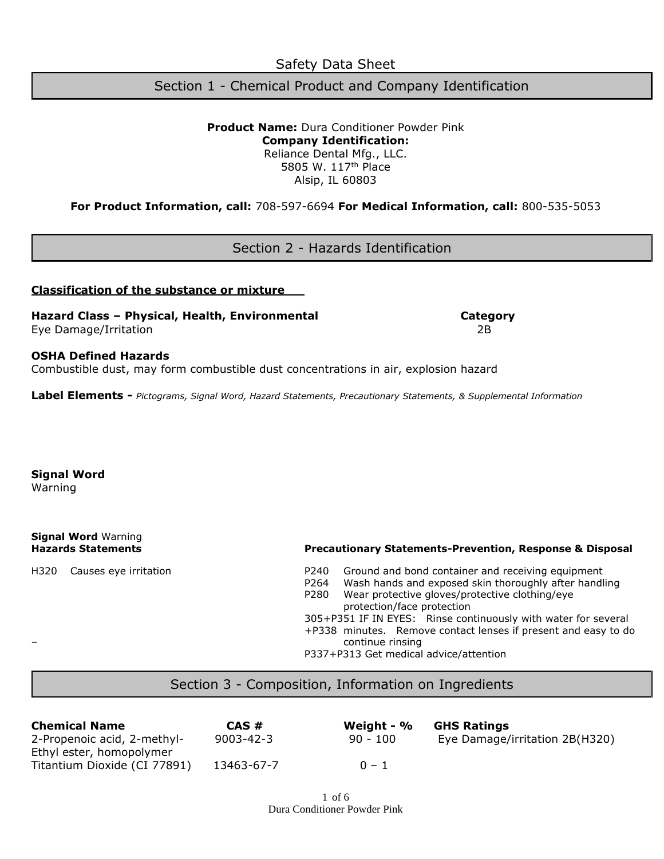Safety Data Sheet

Section 1 - Chemical Product and Company Identification

**Product Name:** Dura Conditioner Powder Pink **Company Identification:** Reliance Dental Mfg., LLC. 5805 W. 117th Place Alsip, IL 60803

**For Product Information, call:** 708-597-6694 **For Medical Information, call:** 800-535-5053

Section 2 - Hazards Identification

### **Classification of the substance or mixture**

**Hazard Class – Physical, Health, Environmental Category** Eye Damage/Irritation 2B

**OSHA Defined Hazards**

Combustible dust, may form combustible dust concentrations in air, explosion hazard

**Label Elements -** *Pictograms, Signal Word, Hazard Statements, Precautionary Statements, & Supplemental Information*

### **Signal Word**

Warning

**Signal Word** Warning

### **Hazards Statements Precautionary Statements-Prevention, Response & Disposal**

- H320 Causes eye irritation P240 Ground and bond container and receiving equipment
	- P264 Wash hands and exposed skin thoroughly after handling
	- P280 Wear protective gloves/protective clothing/eye protection/face protection

305+P351 IF IN EYES: Rinse continuously with water for several

+P338 minutes. Remove contact lenses if present and easy to do – continue rinsing

P337+P313 Get medical advice/attention

# Section 3 - Composition, Information on Ingredients

| <b>Chemical Name</b>         | CAS#            | Weight - $%$ | <b>GHS Ratings</b>             |
|------------------------------|-----------------|--------------|--------------------------------|
| 2-Propenoic acid, 2-methyl-  | $9003 - 42 - 3$ | $90 - 100$   | Eye Damage/irritation 2B(H320) |
| Ethyl ester, homopolymer     |                 |              |                                |
| Titantium Dioxide (CI 77891) | 13463-67-7      | $0 - 1$      |                                |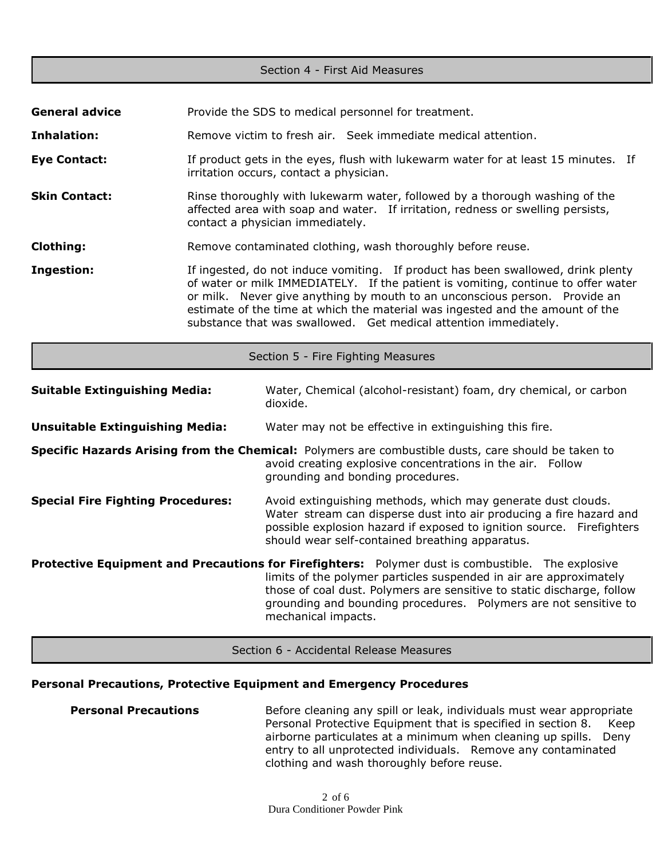| Section 4 - First Aid Measures           |  |                                                                                                                                                                                                                                                                                                                                                                                                          |  |
|------------------------------------------|--|----------------------------------------------------------------------------------------------------------------------------------------------------------------------------------------------------------------------------------------------------------------------------------------------------------------------------------------------------------------------------------------------------------|--|
|                                          |  |                                                                                                                                                                                                                                                                                                                                                                                                          |  |
| <b>General advice</b>                    |  | Provide the SDS to medical personnel for treatment.                                                                                                                                                                                                                                                                                                                                                      |  |
| Inhalation:                              |  | Remove victim to fresh air. Seek immediate medical attention.                                                                                                                                                                                                                                                                                                                                            |  |
| <b>Eye Contact:</b>                      |  | If product gets in the eyes, flush with lukewarm water for at least 15 minutes. If<br>irritation occurs, contact a physician.                                                                                                                                                                                                                                                                            |  |
| <b>Skin Contact:</b>                     |  | Rinse thoroughly with lukewarm water, followed by a thorough washing of the<br>affected area with soap and water. If irritation, redness or swelling persists,<br>contact a physician immediately.                                                                                                                                                                                                       |  |
| <b>Clothing:</b>                         |  | Remove contaminated clothing, wash thoroughly before reuse.                                                                                                                                                                                                                                                                                                                                              |  |
| <b>Ingestion:</b>                        |  | If ingested, do not induce vomiting. If product has been swallowed, drink plenty<br>of water or milk IMMEDIATELY. If the patient is vomiting, continue to offer water<br>or milk. Never give anything by mouth to an unconscious person. Provide an<br>estimate of the time at which the material was ingested and the amount of the<br>substance that was swallowed. Get medical attention immediately. |  |
|                                          |  | Section 5 - Fire Fighting Measures                                                                                                                                                                                                                                                                                                                                                                       |  |
| <b>Suitable Extinguishing Media:</b>     |  | Water, Chemical (alcohol-resistant) foam, dry chemical, or carbon<br>dioxide.                                                                                                                                                                                                                                                                                                                            |  |
| <b>Unsuitable Extinguishing Media:</b>   |  | Water may not be effective in extinguishing this fire.                                                                                                                                                                                                                                                                                                                                                   |  |
|                                          |  | Specific Hazards Arising from the Chemical: Polymers are combustible dusts, care should be taken to<br>avoid creating explosive concentrations in the air. Follow<br>grounding and bonding procedures.                                                                                                                                                                                                   |  |
| <b>Special Fire Fighting Procedures:</b> |  | Avoid extinguishing methods, which may generate dust clouds.<br>Water stream can disperse dust into air producing a fire hazard and<br>possible explosion hazard if exposed to ignition source. Firefighters<br>should wear self-contained breathing apparatus.                                                                                                                                          |  |
|                                          |  | <b>Protective Equipment and Precautions for Firefighters:</b> Polymer dust is combustible. The explosive<br>limits of the polymer particles suspended in air are approximately<br>those of coal dust. Polymers are sensitive to static discharge, follow<br>grounding and bounding procedures.  Polymers are not sensitive to<br>mechanical impacts.                                                     |  |

Section 6 - Accidental Release Measures

# **Personal Precautions, Protective Equipment and Emergency Procedures**

| <b>Personal Precautions</b> | Before cleaning any spill or leak, individuals must wear appropriate  |
|-----------------------------|-----------------------------------------------------------------------|
|                             | Personal Protective Equipment that is specified in section 8.<br>Keep |
|                             | airborne particulates at a minimum when cleaning up spills. Deny      |
|                             | entry to all unprotected individuals. Remove any contaminated         |
|                             | clothing and wash thoroughly before reuse.                            |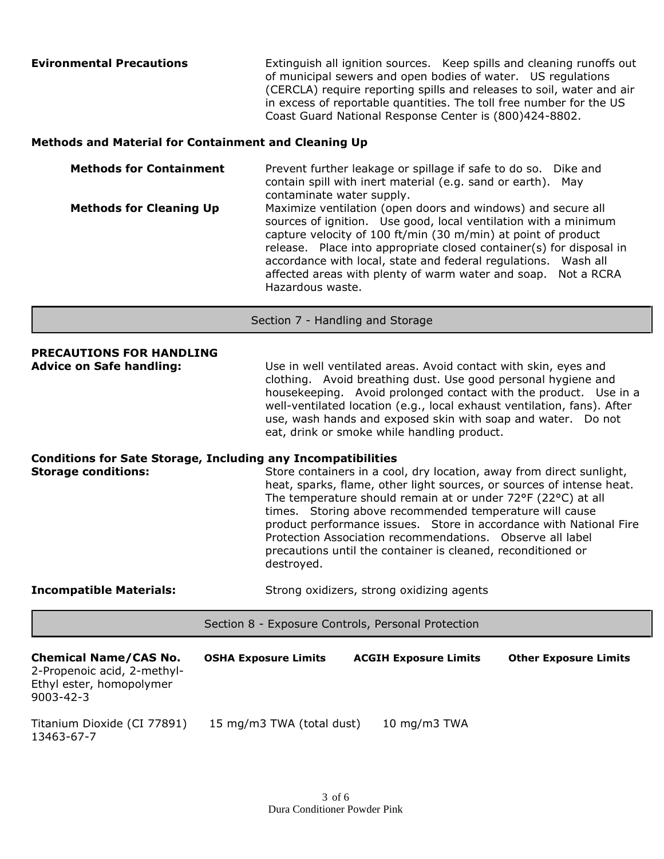| <b>Evironmental Precautions</b> | Extinguish all ignition sources. Keep spills and cleaning runoffs out<br>of municipal sewers and open bodies of water. US regulations<br>(CERCLA) require reporting spills and releases to soil, water and air |
|---------------------------------|----------------------------------------------------------------------------------------------------------------------------------------------------------------------------------------------------------------|
|                                 | in excess of reportable quantities. The toll free number for the US                                                                                                                                            |
|                                 | Coast Guard National Response Center is (800)424-8802.                                                                                                                                                         |

### **Methods and Material for Containment and Cleaning Up**

**Methods for Containment** Prevent further leakage or spillage if safe to do so. Dike and contain spill with inert material (e.g. sand or earth). May contaminate water supply. **Methods for Cleaning Up** Maximize ventilation (open doors and windows) and secure all sources of ignition. Use good, local ventilation with a minimum capture velocity of 100 ft/min (30 m/min) at point of product release. Place into appropriate closed container(s) for disposal in accordance with local, state and federal regulations. Wash all affected areas with plenty of warm water and soap. Not a RCRA Hazardous waste.

Section 7 - Handling and Storage

**PRECAUTIONS FOR HANDLING Advice on Safe handling:** Use in well ventilated areas. Avoid contact with skin, eyes and clothing. Avoid breathing dust. Use good personal hygiene and housekeeping. Avoid prolonged contact with the product. Use in a well-ventilated location (e.g., local exhaust ventilation, fans). After use, wash hands and exposed skin with soap and water. Do not eat, drink or smoke while handling product.

# **Conditions for Sate Storage, Including any Incompatibilities Storage conditions:** Store containers in a cool, dry location, away from direct sunlight, heat, sparks, flame, other light sources, or sources of intense heat. The temperature should remain at or under 72°F (22°C) at all times. Storing above recommended temperature will cause product performance issues. Store in accordance with National Fire Protection Association recommendations. Observe all label precautions until the container is cleaned, reconditioned or destroyed.

**Incompatible Materials:** Strong oxidizers, strong oxidizing agents

Section 8 - Exposure Controls, Personal Protection

| <b>Chemical Name/CAS No.</b><br>2-Propenoic acid, 2-methyl-<br>Ethyl ester, homopolymer<br>$9003 - 42 - 3$ | <b>OSHA Exposure Limits</b> | <b>ACGIH Exposure Limits</b> | <b>Other Exposure Limits</b> |
|------------------------------------------------------------------------------------------------------------|-----------------------------|------------------------------|------------------------------|
| Titanium Dioxide (CI 77891)<br>13463-67-7                                                                  | 15 mg/m3 TWA (total dust)   | 10 mg/m3 $TWA$               |                              |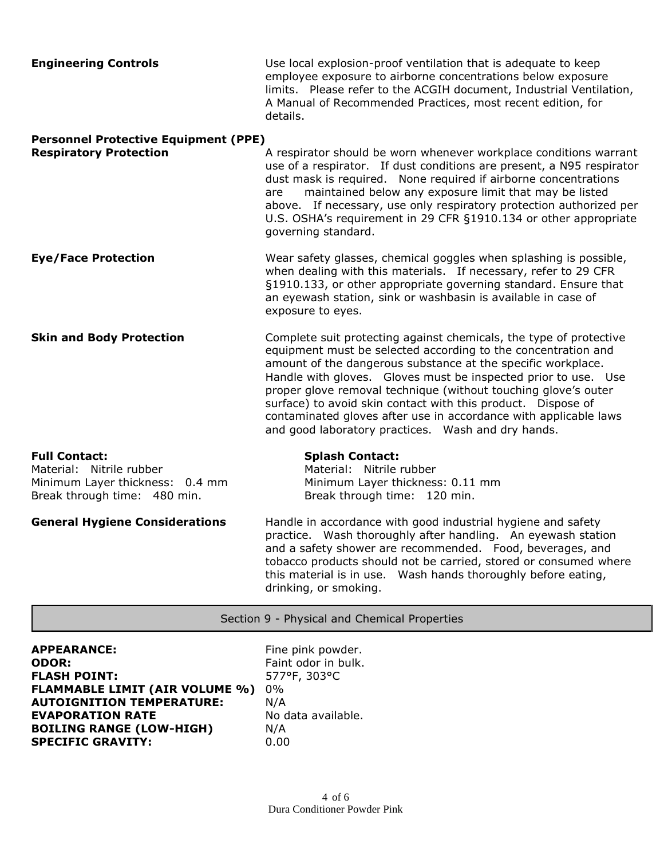| <b>Engineering Controls</b>                 | Use local explosion-proof ventilation that is adequate to keep<br>employee exposure to airborne concentrations below exposure<br>limits. Please refer to the ACGIH document, Industrial Ventilation,<br>A Manual of Recommended Practices, most recent edition, for<br>details. |
|---------------------------------------------|---------------------------------------------------------------------------------------------------------------------------------------------------------------------------------------------------------------------------------------------------------------------------------|
| <b>Personnel Protective Equipment (PPE)</b> |                                                                                                                                                                                                                                                                                 |

| <b>Respiratory Protection</b> | A respirator should be worn whenever workplace conditions warrant<br>use of a respirator. If dust conditions are present, a N95 respirator<br>dust mask is required. None required if airborne concentrations<br>maintained below any exposure limit that may be listed<br>are<br>above. If necessary, use only respiratory protection authorized per<br>U.S. OSHA's requirement in 29 CFR §1910.134 or other appropriate<br>governing standard. |
|-------------------------------|--------------------------------------------------------------------------------------------------------------------------------------------------------------------------------------------------------------------------------------------------------------------------------------------------------------------------------------------------------------------------------------------------------------------------------------------------|
| <b>Eye/Face Protection</b>    | Wear safety glasses, chemical goggles when splashing is possible,<br>when dealing with this materials. If necessary, refer to 29 CFR<br>§1910.133, or other appropriate governing standard. Ensure that                                                                                                                                                                                                                                          |

exposure to eyes. **Skin and Body Protection Complete suit protecting against chemicals, the type of protective** equipment must be selected according to the concentration and amount of the dangerous substance at the specific workplace. Handle with gloves. Gloves must be inspected prior to use. Use proper glove removal technique (without touching glove's outer surface) to avoid skin contact with this product. Dispose of contaminated gloves after use in accordance with applicable laws and good laboratory practices. Wash and dry hands.

# **Full Contact: Splash Contact:** Material: Nitrile rubber Material: Nitrile rubber Minimum Layer thickness: 0.4 mm Minimum Layer thickness: 0.11 mm Break through time: 480 min. Break through time: 120 min.

**General Hygiene Considerations** Handle in accordance with good industrial hygiene and safety practice. Wash thoroughly after handling. An eyewash station and a safety shower are recommended. Food, beverages, and tobacco products should not be carried, stored or consumed where this material is in use. Wash hands thoroughly before eating, drinking, or smoking.

an eyewash station, sink or washbasin is available in case of

## Section 9 - Physical and Chemical Properties

| <b>APPEARANCE:</b>                    | Fine  |
|---------------------------------------|-------|
| ODOR:                                 | Faint |
| <b>FLASH POINT:</b>                   | 5779  |
| <b>FLAMMABLE LIMIT (AIR VOLUME %)</b> | $0\%$ |
| <b>AUTOIGNITION TEMPERATURE:</b>      | N/A   |
| <b>EVAPORATION RATE</b>               | No d  |
| <b>BOILING RANGE (LOW-HIGH)</b>       | N/A   |
| <b>SPECIFIC GRAVITY:</b>              | 0.00  |

Fine pink powder. Faint odor in bulk. **FLASH POINT:** 577°F, 303°C No data available.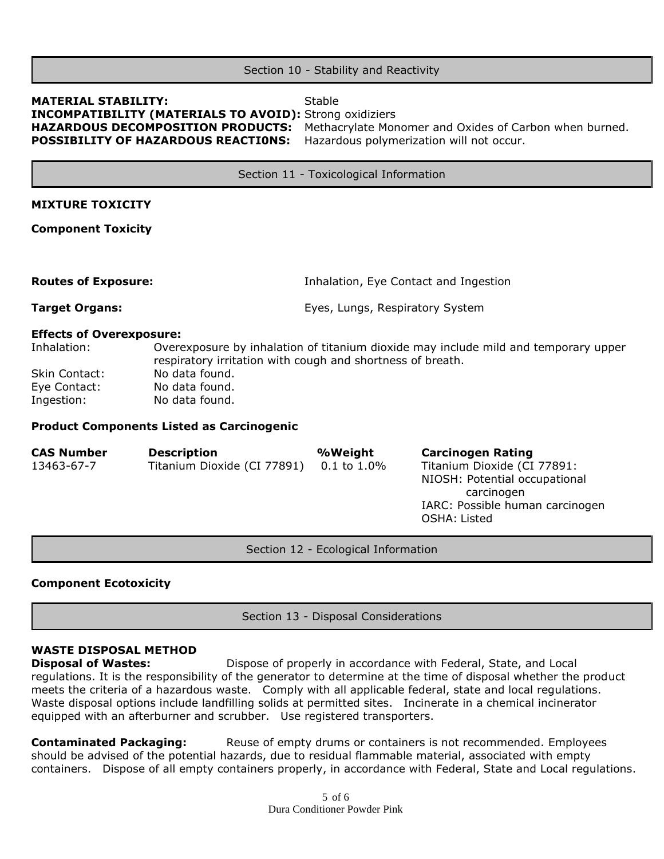### Section 10 - Stability and Reactivity

# **MATERIAL STABILITY:** Stable **INCOMPATIBILITY (MATERIALS TO AVOID):** Strong oxidiziers **POSSIBILITY OF HAZARDOUS REACTI0NS:** Hazardous polymerization will not occur.

**HAZARDOUS DECOMPOSITION PRODUCTS:** Methacrylate Monomer and Oxides of Carbon when burned.

Section 11 - Toxicological Information

### **MIXTURE TOXICITY**

**Component Toxicity**

**Routes of Exposure:** Inhalation, Eye Contact and Ingestion

**Target Organs:** Eyes, Lungs, Respiratory System

### **Effects of Overexposure:**

Inhalation: Overexposure by inhalation of titanium dioxide may include mild and temporary upper respiratory irritation with cough and shortness of breath. Skin Contact: No data found. Eye Contact: No data found.

Ingestion: No data found.

### **Product Components Listed as Carcinogenic**

| <b>CAS Number</b> | <b>Description</b>          | %Weight          | <b>Carcinogen Rating</b>                        |
|-------------------|-----------------------------|------------------|-------------------------------------------------|
| 13463-67-7        | Titanium Dioxide (CI 77891) | $0.1$ to $1.0\%$ | Titanium Dioxide (CI 77891:                     |
|                   |                             |                  | NIOSH: Potential occupational<br>carcinogen     |
|                   |                             |                  | IARC: Possible human carcinogen<br>OSHA: Listed |

Section 12 - Ecological Information

### **Component Ecotoxicity**

Section 13 - Disposal Considerations

# **WASTE DISPOSAL METHOD**

**Disposal of Wastes:** Dispose of properly in accordance with Federal, State, and Local regulations. It is the responsibility of the generator to determine at the time of disposal whether the product meets the criteria of a hazardous waste. Comply with all applicable federal, state and local regulations. Waste disposal options include landfilling solids at permitted sites. Incinerate in a chemical incinerator equipped with an afterburner and scrubber. Use registered transporters.

**Contaminated Packaging:** Reuse of empty drums or containers is not recommended. Employees should be advised of the potential hazards, due to residual flammable material, associated with empty containers. Dispose of all empty containers properly, in accordance with Federal, State and Local regulations.